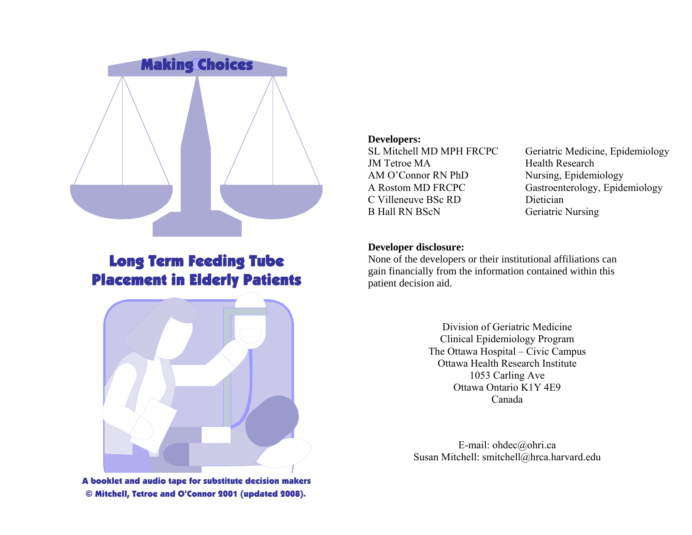

# Long Term Feeding Tube Placement in Elderly Patients



A booklet and audio tape for substitute decision makers © Mitchell, Tetroe and O'Connor 2001 (updated 2008).

#### **Developers:**

JM Tetroe MA Health Research AM O'Connor RN PhD Nursing, Epidemiology C Villeneuve BSc RD Dietician B Hall RN BScN Geriatric Nursing

SL Mitchell MD MPH FRCPC Geriatric Medicine, Epidemiology A Rostom MD FRCPC Gastroenterology, Epidemiology

#### **Developer disclosure:**

None of the developers or their institutional affiliations can gain financially from the information contained within this patient decision aid.

> Division of Geriatric Medicine Clinical Epidemiology Program The Ottawa Hospital – Civic Campus Ottawa Health Research Institute 1053 Carling Ave Ottawa Ontario K1Y 4E9 Canada

E-mail: ohdec@ohri.ca Susan Mitchell: smitchell@hrca.harvard.edu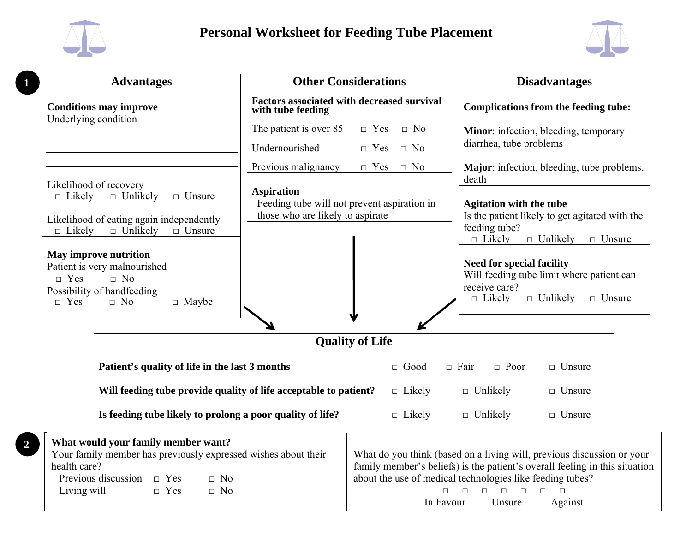

**1** 

health care?

**2** 

Previous discussion  $\Box$  Yes

Living will  $\Box$  Yes  $\Box$  No

 $\Box$  No



family member's beliefs) is the patient's overall feeling in this situation

□ □ □ □ □ □ □ In Favour Unsure Against

about the use of medical technologies like feeding tubes?

| <b>Advantages</b>                                                                                                                                                                                                                                                                                                                         |                                                                                                      | <b>Other Considerations</b>                       |                                                                                                                                                                                                                                                                                                                        | <b>Disadvantages</b>                                                   |  |
|-------------------------------------------------------------------------------------------------------------------------------------------------------------------------------------------------------------------------------------------------------------------------------------------------------------------------------------------|------------------------------------------------------------------------------------------------------|---------------------------------------------------|------------------------------------------------------------------------------------------------------------------------------------------------------------------------------------------------------------------------------------------------------------------------------------------------------------------------|------------------------------------------------------------------------|--|
| <b>Conditions may improve</b>                                                                                                                                                                                                                                                                                                             | with tube feeding                                                                                    | <b>Factors associated with decreased survival</b> |                                                                                                                                                                                                                                                                                                                        | <b>Complications from the feeding tube:</b>                            |  |
| Underlying condition                                                                                                                                                                                                                                                                                                                      | The patient is over 85<br>$\Box$ Yes                                                                 | $\Box$ No                                         |                                                                                                                                                                                                                                                                                                                        | Minor: infection, bleeding, temporary                                  |  |
|                                                                                                                                                                                                                                                                                                                                           | Undernourished<br>$\Box$ Yes                                                                         | $\Box$ No                                         | diarrhea, tube problems                                                                                                                                                                                                                                                                                                |                                                                        |  |
|                                                                                                                                                                                                                                                                                                                                           | Previous malignancy<br>$\Box$ Yes                                                                    | $\Box$ No                                         |                                                                                                                                                                                                                                                                                                                        | Major: infection, bleeding, tube problems,                             |  |
| Likelihood of recovery<br>$\Box$ Likely<br>$\Box$ Unlikely<br>$\Box$ Unsure<br>Likelihood of eating again independently<br>$\Box$ Unlikely<br>$\Box$ Likely<br>$\Box$ Unsure<br>May improve nutrition<br>Patient is very malnourished<br>$\Box$ No<br>$\Box$ Yes<br>Possibility of handfeeding<br>$\Box$ No<br>$\Box$ Maybe<br>$\Box$ Yes | <b>Aspiration</b><br>Feeding tube will not prevent aspiration in<br>those who are likely to aspirate |                                                   | death<br><b>Agitation with the tube</b><br>Is the patient likely to get agitated with the<br>feeding tube?<br>$\Box$ Unlikely<br>$\Box$ Likely<br>$\Box$ Unsure<br><b>Need for special facility</b><br>Will feeding tube limit where patient can<br>receive care?<br>$\Box$ Likely<br>$\Box$ Unlikely<br>$\Box$ Unsure |                                                                        |  |
|                                                                                                                                                                                                                                                                                                                                           | <b>Quality of Life</b>                                                                               |                                                   |                                                                                                                                                                                                                                                                                                                        |                                                                        |  |
| Patient's quality of life in the last 3 months                                                                                                                                                                                                                                                                                            |                                                                                                      | $\Box$ Good                                       | $\Box$ Fair<br>$\Box$ Poor                                                                                                                                                                                                                                                                                             | $\Box$ Unsure                                                          |  |
|                                                                                                                                                                                                                                                                                                                                           | Will feeding tube provide quality of life acceptable to patient?                                     | $\Box$ Likely                                     | $\Box$ Unlikely                                                                                                                                                                                                                                                                                                        | $\Box$ Unsure                                                          |  |
|                                                                                                                                                                                                                                                                                                                                           | Is feeding tube likely to prolong a poor quality of life?                                            | $\Box$ Likely                                     | $\Box$ Unlikely                                                                                                                                                                                                                                                                                                        | $\Box$ Unsure                                                          |  |
| What would your family member want?<br>Your family member has previously expressed wishes about their                                                                                                                                                                                                                                     |                                                                                                      |                                                   |                                                                                                                                                                                                                                                                                                                        | What do you think (based on a living will, previous discussion or your |  |